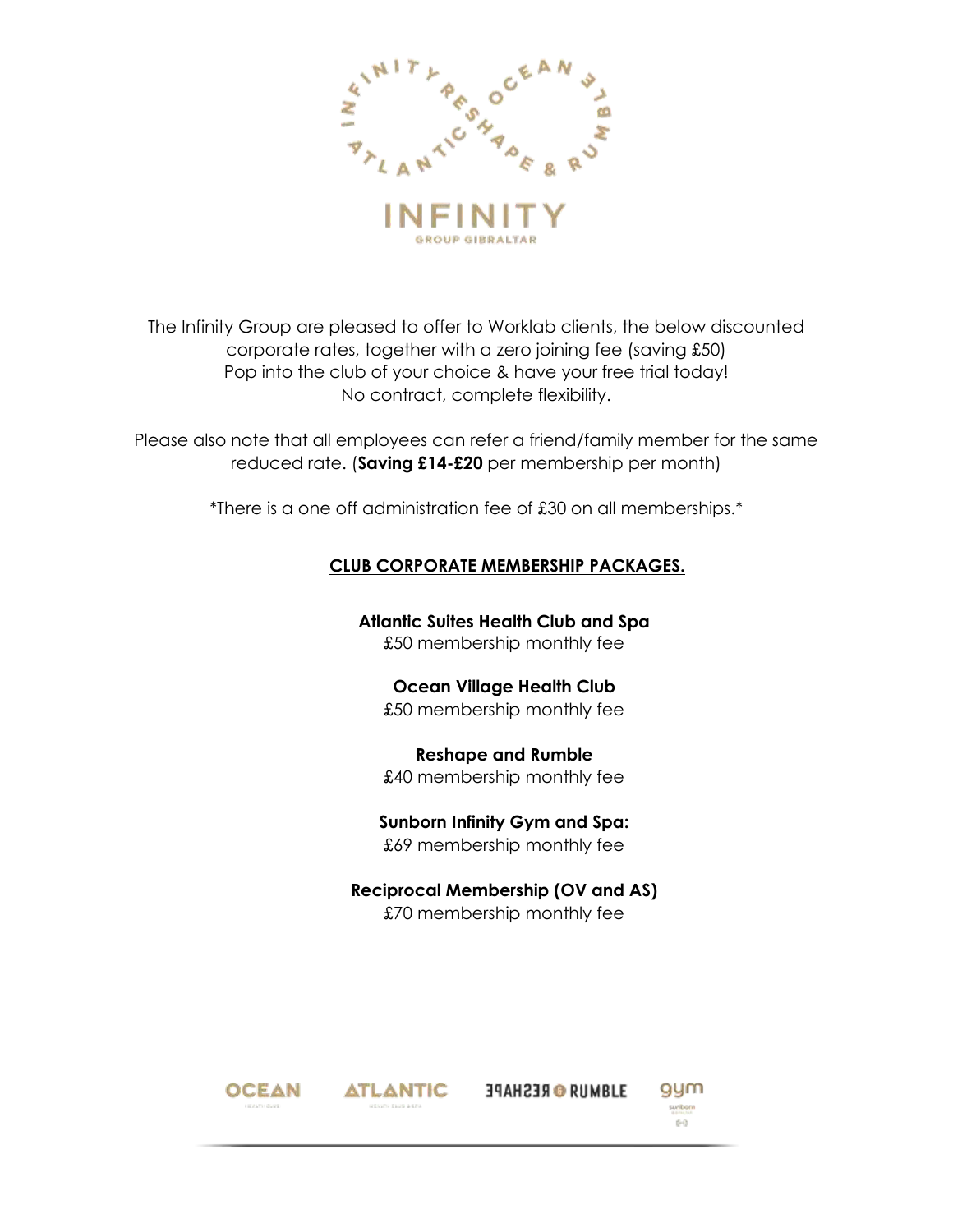

The Infinity Group are pleased to offer to Worklab clients, the below discounted corporate rates, together with a zero joining fee (saving £50) Pop into the club of your choice & have your free trial today! No contract, complete flexibility.

Please also note that all employees can refer a friend/family member for the same reduced rate. (**Saving £14-£20** per membership per month)

\*There is a one off administration fee of £30 on all memberships.\*

#### **CLUB CORPORATE MEMBERSHIP PACKAGES.**

**Atlantic Suites Health Club and Spa** £50 membership monthly fee

## **Ocean Village Health Club**

£50 membership monthly fee

**Reshape and Rumble** £40 membership monthly fee

### **Sunborn Infinity Gym and Spa:** £69 membership monthly fee

### **Reciprocal Membership (OV and AS)** £70 membership monthly fee





**34AH23RO RUMBLE**